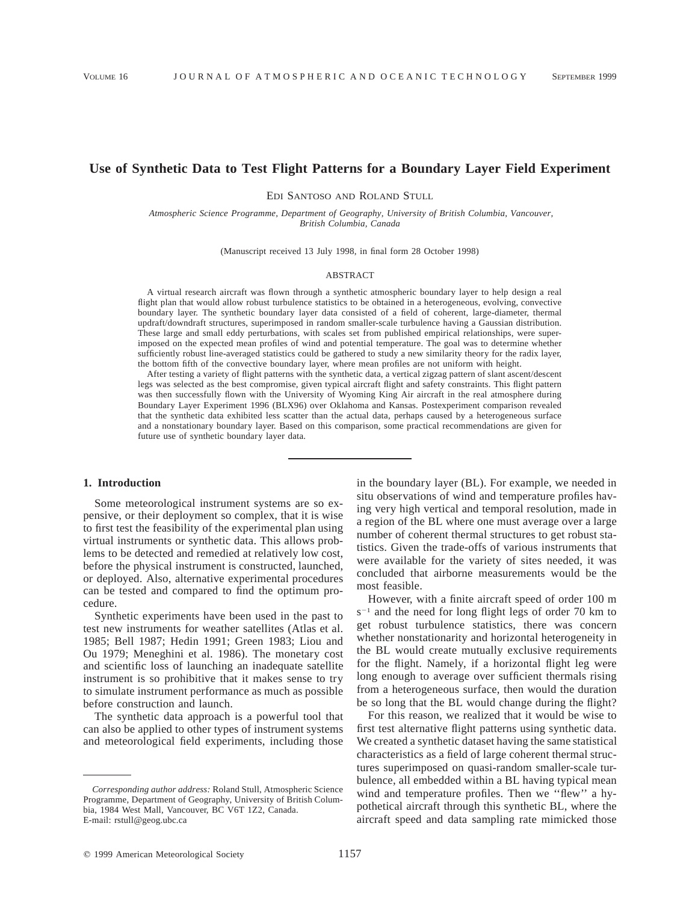# **Use of Synthetic Data to Test Flight Patterns for a Boundary Layer Field Experiment**

EDI SANTOSO AND ROLAND STULL

*Atmospheric Science Programme, Department of Geography, University of British Columbia, Vancouver, British Columbia, Canada*

(Manuscript received 13 July 1998, in final form 28 October 1998)

#### ABSTRACT

A virtual research aircraft was flown through a synthetic atmospheric boundary layer to help design a real flight plan that would allow robust turbulence statistics to be obtained in a heterogeneous, evolving, convective boundary layer. The synthetic boundary layer data consisted of a field of coherent, large-diameter, thermal updraft/downdraft structures, superimposed in random smaller-scale turbulence having a Gaussian distribution. These large and small eddy perturbations, with scales set from published empirical relationships, were superimposed on the expected mean profiles of wind and potential temperature. The goal was to determine whether sufficiently robust line-averaged statistics could be gathered to study a new similarity theory for the radix layer, the bottom fifth of the convective boundary layer, where mean profiles are not uniform with height.

After testing a variety of flight patterns with the synthetic data, a vertical zigzag pattern of slant ascent/descent legs was selected as the best compromise, given typical aircraft flight and safety constraints. This flight pattern was then successfully flown with the University of Wyoming King Air aircraft in the real atmosphere during Boundary Layer Experiment 1996 (BLX96) over Oklahoma and Kansas. Postexperiment comparison revealed that the synthetic data exhibited less scatter than the actual data, perhaps caused by a heterogeneous surface and a nonstationary boundary layer. Based on this comparison, some practical recommendations are given for future use of synthetic boundary layer data.

## **1. Introduction**

Some meteorological instrument systems are so expensive, or their deployment so complex, that it is wise to first test the feasibility of the experimental plan using virtual instruments or synthetic data. This allows problems to be detected and remedied at relatively low cost, before the physical instrument is constructed, launched, or deployed. Also, alternative experimental procedures can be tested and compared to find the optimum procedure.

Synthetic experiments have been used in the past to test new instruments for weather satellites (Atlas et al. 1985; Bell 1987; Hedin 1991; Green 1983; Liou and Ou 1979; Meneghini et al. 1986). The monetary cost and scientific loss of launching an inadequate satellite instrument is so prohibitive that it makes sense to try to simulate instrument performance as much as possible before construction and launch.

The synthetic data approach is a powerful tool that can also be applied to other types of instrument systems and meteorological field experiments, including those in the boundary layer (BL). For example, we needed in situ observations of wind and temperature profiles having very high vertical and temporal resolution, made in a region of the BL where one must average over a large number of coherent thermal structures to get robust statistics. Given the trade-offs of various instruments that were available for the variety of sites needed, it was concluded that airborne measurements would be the most feasible.

However, with a finite aircraft speed of order 100 m  $s^{-1}$  and the need for long flight legs of order 70 km to get robust turbulence statistics, there was concern whether nonstationarity and horizontal heterogeneity in the BL would create mutually exclusive requirements for the flight. Namely, if a horizontal flight leg were long enough to average over sufficient thermals rising from a heterogeneous surface, then would the duration be so long that the BL would change during the flight?

For this reason, we realized that it would be wise to first test alternative flight patterns using synthetic data. We created a synthetic dataset having the same statistical characteristics as a field of large coherent thermal structures superimposed on quasi-random smaller-scale turbulence, all embedded within a BL having typical mean wind and temperature profiles. Then we ''flew'' a hypothetical aircraft through this synthetic BL, where the aircraft speed and data sampling rate mimicked those

*Corresponding author address:* Roland Stull, Atmospheric Science Programme, Department of Geography, University of British Columbia, 1984 West Mall, Vancouver, BC V6T 1Z2, Canada. E-mail: rstull@geog.ubc.ca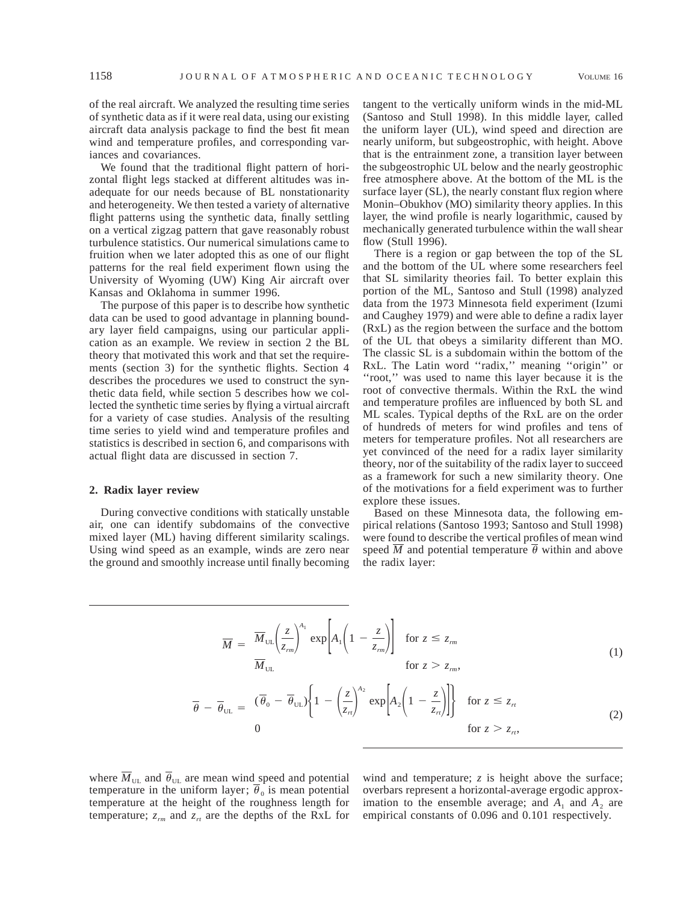of the real aircraft. We analyzed the resulting time series of synthetic data as if it were real data, using our existing aircraft data analysis package to find the best fit mean wind and temperature profiles, and corresponding variances and covariances.

We found that the traditional flight pattern of horizontal flight legs stacked at different altitudes was inadequate for our needs because of BL nonstationarity and heterogeneity. We then tested a variety of alternative flight patterns using the synthetic data, finally settling on a vertical zigzag pattern that gave reasonably robust turbulence statistics. Our numerical simulations came to fruition when we later adopted this as one of our flight patterns for the real field experiment flown using the University of Wyoming (UW) King Air aircraft over Kansas and Oklahoma in summer 1996.

The purpose of this paper is to describe how synthetic data can be used to good advantage in planning boundary layer field campaigns, using our particular application as an example. We review in section 2 the BL theory that motivated this work and that set the requirements (section 3) for the synthetic flights. Section 4 describes the procedures we used to construct the synthetic data field, while section 5 describes how we collected the synthetic time series by flying a virtual aircraft for a variety of case studies. Analysis of the resulting time series to yield wind and temperature profiles and statistics is described in section 6, and comparisons with actual flight data are discussed in section 7.

### **2. Radix layer review**

During convective conditions with statically unstable air, one can identify subdomains of the convective mixed layer (ML) having different similarity scalings. Using wind speed as an example, winds are zero near the ground and smoothly increase until finally becoming tangent to the vertically uniform winds in the mid-ML (Santoso and Stull 1998). In this middle layer, called the uniform layer (UL), wind speed and direction are nearly uniform, but subgeostrophic, with height. Above that is the entrainment zone, a transition layer between the subgeostrophic UL below and the nearly geostrophic free atmosphere above. At the bottom of the ML is the surface layer (SL), the nearly constant flux region where Monin–Obukhov (MO) similarity theory applies. In this layer, the wind profile is nearly logarithmic, caused by mechanically generated turbulence within the wall shear flow (Stull 1996).

There is a region or gap between the top of the SL and the bottom of the UL where some researchers feel that SL similarity theories fail. To better explain this portion of the ML, Santoso and Stull (1998) analyzed data from the 1973 Minnesota field experiment (Izumi and Caughey 1979) and were able to define a radix layer (RxL) as the region between the surface and the bottom of the UL that obeys a similarity different than MO. The classic SL is a subdomain within the bottom of the RxL. The Latin word ''radix,'' meaning ''origin'' or ''root,'' was used to name this layer because it is the root of convective thermals. Within the RxL the wind and temperature profiles are influenced by both SL and ML scales. Typical depths of the RxL are on the order of hundreds of meters for wind profiles and tens of meters for temperature profiles. Not all researchers are yet convinced of the need for a radix layer similarity theory, nor of the suitability of the radix layer to succeed as a framework for such a new similarity theory. One of the motivations for a field experiment was to further explore these issues.

Based on these Minnesota data, the following empirical relations (Santoso 1993; Santoso and Stull 1998) were found to describe the vertical profiles of mean wind speed *M* and potential temperature  $\theta$  within and above the radix layer:

$$
\overline{M} = \begin{cases} \overline{M}_{\text{UL}} \left( \frac{z}{z_m} \right)^{A_1} \exp \left[ A_1 \left( 1 - \frac{z}{z_m} \right) \right] & \text{for } z \le z_m\\ \overline{M}_{\text{UL}} & \text{for } z > z_m, \end{cases} \tag{1}
$$

$$
\overline{\theta} - \overline{\theta}_{\text{UL}} = \begin{cases}\n(\overline{\theta}_0 - \overline{\theta}_{\text{UL}}) \left\{ 1 - \left(\frac{z}{z_n}\right)^{A_2} \exp\left[A_2 \left(1 - \frac{z}{z_n}\right)\right] \right\} & \text{for } z \le z_n \\
0 & \text{for } z > z_n,\n\end{cases}
$$
\n(2)

where  $\overline{M}_{UL}$  and  $\overline{\theta}_{UL}$  are mean wind speed and potential temperature in the uniform layer;  $\theta_0$  is mean potential temperature at the height of the roughness length for temperature;  $z_{rm}$  and  $z_{rt}$  are the depths of the RxL for

wind and temperature; *z* is height above the surface; overbars represent a horizontal-average ergodic approximation to the ensemble average; and  $A_1$  and  $A_2$  are empirical constants of 0.096 and 0.101 respectively.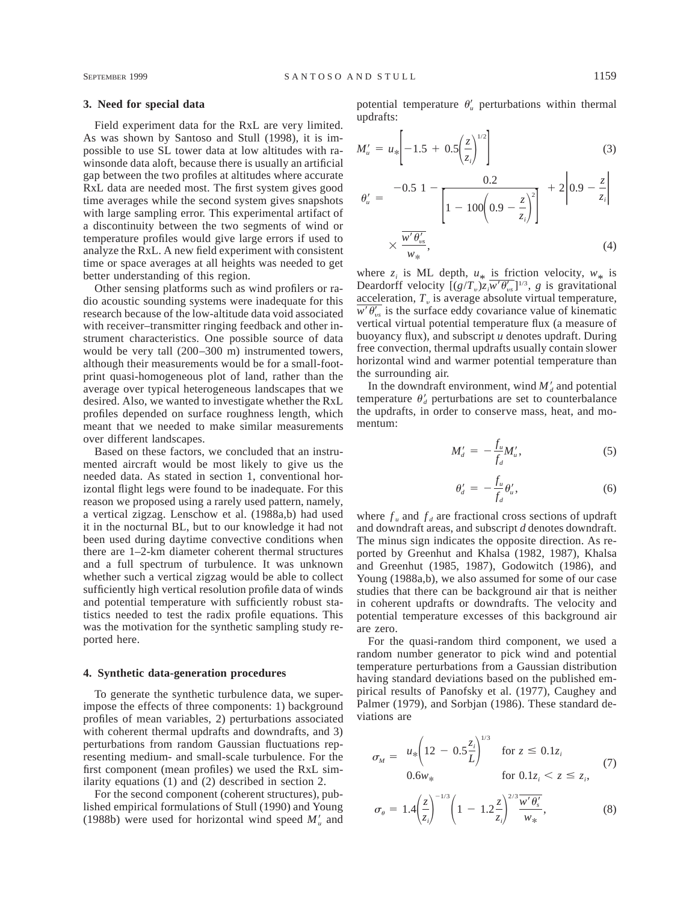## **3. Need for special data**

Field experiment data for the RxL are very limited. As was shown by Santoso and Stull (1998), it is impossible to use SL tower data at low altitudes with rawinsonde data aloft, because there is usually an artificial gap between the two profiles at altitudes where accurate RxL data are needed most. The first system gives good time averages while the second system gives snapshots with large sampling error. This experimental artifact of a discontinuity between the two segments of wind or temperature profiles would give large errors if used to analyze the RxL. A new field experiment with consistent time or space averages at all heights was needed to get better understanding of this region.

Other sensing platforms such as wind profilers or radio acoustic sounding systems were inadequate for this research because of the low-altitude data void associated with receiver–transmitter ringing feedback and other instrument characteristics. One possible source of data would be very tall (200–300 m) instrumented towers, although their measurements would be for a small-footprint quasi-homogeneous plot of land, rather than the average over typical heterogeneous landscapes that we desired. Also, we wanted to investigate whether the RxL profiles depended on surface roughness length, which meant that we needed to make similar measurements over different landscapes.

Based on these factors, we concluded that an instrumented aircraft would be most likely to give us the needed data. As stated in section 1, conventional horizontal flight legs were found to be inadequate. For this reason we proposed using a rarely used pattern, namely, a vertical zigzag. Lenschow et al. (1988a,b) had used it in the nocturnal BL, but to our knowledge it had not been used during daytime convective conditions when there are 1–2-km diameter coherent thermal structures and a full spectrum of turbulence. It was unknown whether such a vertical zigzag would be able to collect sufficiently high vertical resolution profile data of winds and potential temperature with sufficiently robust statistics needed to test the radix profile equations. This was the motivation for the synthetic sampling study reported here.

### **4. Synthetic data-generation procedures**

To generate the synthetic turbulence data, we superimpose the effects of three components: 1) background profiles of mean variables, 2) perturbations associated with coherent thermal updrafts and downdrafts, and 3) perturbations from random Gaussian fluctuations representing medium- and small-scale turbulence. For the first component (mean profiles) we used the RxL similarity equations (1) and (2) described in section 2.

For the second component (coherent structures), published empirical formulations of Stull (1990) and Young (1988b) were used for horizontal wind speed  $M'_u$  and

potential temperature  $\theta'_{\mu}$  perturbations within thermal updrafts:

$$
M'_u = u_* \left[ -1.5 + 0.5 \left( \frac{z}{z_i} \right)^{1/2} \right] \tag{3}
$$

$$
\theta'_{u} = \left\{ -0.5 \left( 1 - \frac{0.2}{\left[ 1 - 100 \left( 0.9 - \frac{z}{z_{i}} \right)^{2} \right]} \right) + 2 \left| 0.9 - \frac{z}{z_{i}} \right| \right\}
$$
  
 
$$
\times \frac{\overline{w'\theta'_{vs}}}{w_{*}}, \tag{4}
$$

where  $z_i$  is ML depth,  $u_*$  is friction velocity,  $w_*$  is Deardorff velocity  $[(g/T_v)z_i w' \theta'_{vs}]^{1/3}$ , g is gravitational acceleration,  $T<sub>v</sub>$  is average absolute virtual temperature,  $w' \theta'_{\text{vs}}$  is the surface eddy covariance value of kinematic vertical virtual potential temperature flux (a measure of buoyancy flux), and subscript *u* denotes updraft. During free convection, thermal updrafts usually contain slower horizontal wind and warmer potential temperature than the surrounding air.

In the downdraft environment, wind  $M'_d$  and potential temperature  $\theta_d$  perturbations are set to counterbalance the updrafts, in order to conserve mass, heat, and momentum:

$$
M'_d = -\frac{f_u}{f_d} M'_u, \qquad (5)
$$

$$
\theta'_d = -\frac{f_u}{f_d} \theta'_u, \tag{6}
$$

where  $f_u$  and  $f_d$  are fractional cross sections of updraft and downdraft areas, and subscript *d* denotes downdraft. The minus sign indicates the opposite direction. As reported by Greenhut and Khalsa (1982, 1987), Khalsa and Greenhut (1985, 1987), Godowitch (1986), and Young (1988a,b), we also assumed for some of our case studies that there can be background air that is neither in coherent updrafts or downdrafts. The velocity and potential temperature excesses of this background air are zero.

For the quasi-random third component, we used a random number generator to pick wind and potential temperature perturbations from a Gaussian distribution having standard deviations based on the published empirical results of Panofsky et al. (1977), Caughey and Palmer (1979), and Sorbjan (1986). These standard deviations are

$$
\sigma_M = \begin{cases} u_* \left( 12 - 0.5 \frac{z_i}{L} \right)^{1/3} & \text{for } z \le 0.1 z_i \\ 0.6 w_* & \text{for } 0.1 z_i < z \le z_i, \end{cases}
$$
 (7)

$$
\sigma_{\theta} = 1.4 \left(\frac{z}{z_i}\right)^{-1/3} \left(1 - 1.2 \frac{z}{z_i}\right)^{2/3} \frac{\overline{w'\theta'_s}}{w_*},
$$
 (8)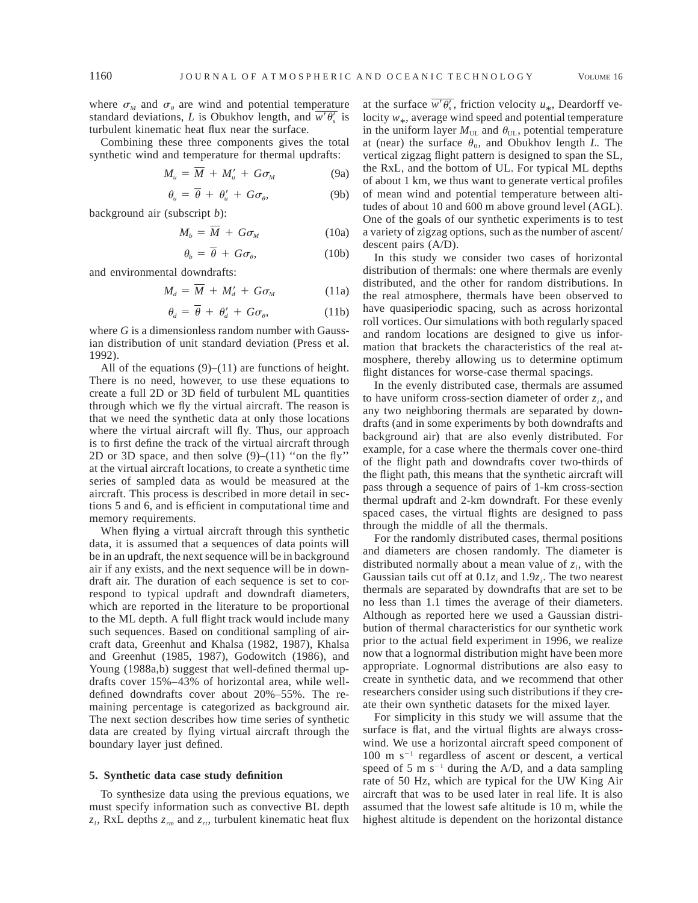where  $\sigma_M$  and  $\sigma_{\theta}$  are wind and potential temperature standard deviations, *L* is Obukhov length, and  $w' \theta'$  is turbulent kinematic heat flux near the surface.

Combining these three components gives the total synthetic wind and temperature for thermal updrafts:

$$
M_u = M + M'_u + G\sigma_M \tag{9a}
$$

$$
\theta_u = \overline{\theta} + \theta'_u + G\sigma_\theta, \tag{9b}
$$

background air (subscript *b*):

$$
M_b = M + G\sigma_M \tag{10a}
$$

$$
\theta_b = \theta + G\sigma_\theta, \tag{10b}
$$

and environmental downdrafts:

$$
M_d = \overline{M} + M'_d + G\sigma_M \tag{11a}
$$

$$
\theta_d = \overline{\theta} + \theta'_d + G\sigma_{\theta}, \qquad (11b)
$$

where *G* is a dimensionless random number with Gaussian distribution of unit standard deviation (Press et al. 1992).

All of the equations  $(9)$ – $(11)$  are functions of height. There is no need, however, to use these equations to create a full 2D or 3D field of turbulent ML quantities through which we fly the virtual aircraft. The reason is that we need the synthetic data at only those locations where the virtual aircraft will fly. Thus, our approach is to first define the track of the virtual aircraft through 2D or 3D space, and then solve  $(9)$ – $(11)$  "on the fly" at the virtual aircraft locations, to create a synthetic time series of sampled data as would be measured at the aircraft. This process is described in more detail in sections 5 and 6, and is efficient in computational time and memory requirements.

When flying a virtual aircraft through this synthetic data, it is assumed that a sequences of data points will be in an updraft, the next sequence will be in background air if any exists, and the next sequence will be in downdraft air. The duration of each sequence is set to correspond to typical updraft and downdraft diameters, which are reported in the literature to be proportional to the ML depth. A full flight track would include many such sequences. Based on conditional sampling of aircraft data, Greenhut and Khalsa (1982, 1987), Khalsa and Greenhut (1985, 1987), Godowitch (1986), and Young (1988a,b) suggest that well-defined thermal updrafts cover 15%–43% of horizontal area, while welldefined downdrafts cover about 20%–55%. The remaining percentage is categorized as background air. The next section describes how time series of synthetic data are created by flying virtual aircraft through the boundary layer just defined.

### **5. Synthetic data case study definition**

To synthesize data using the previous equations, we must specify information such as convective BL depth  $z_i$ , RxL depths  $z_{rm}$  and  $z_{rt}$ , turbulent kinematic heat flux

at the surface  $w'\theta'_{s}$ , friction velocity  $u_{*}$ , Deardorff velocity  $w_*$ , average wind speed and potential temperature in the uniform layer  $M_{UL}$  and  $\theta_{UL}$ , potential temperature at (near) the surface  $\theta_0$ , and Obukhov length *L*. The vertical zigzag flight pattern is designed to span the SL, the RxL, and the bottom of UL. For typical ML depths of about 1 km, we thus want to generate vertical profiles of mean wind and potential temperature between altitudes of about 10 and 600 m above ground level (AGL). One of the goals of our synthetic experiments is to test a variety of zigzag options, such as the number of ascent/ descent pairs (A/D).

In this study we consider two cases of horizontal distribution of thermals: one where thermals are evenly distributed, and the other for random distributions. In the real atmosphere, thermals have been observed to have quasiperiodic spacing, such as across horizontal roll vortices. Our simulations with both regularly spaced and random locations are designed to give us information that brackets the characteristics of the real atmosphere, thereby allowing us to determine optimum flight distances for worse-case thermal spacings.

In the evenly distributed case, thermals are assumed to have uniform cross-section diameter of order *zi*, and any two neighboring thermals are separated by downdrafts (and in some experiments by both downdrafts and background air) that are also evenly distributed. For example, for a case where the thermals cover one-third of the flight path and downdrafts cover two-thirds of the flight path, this means that the synthetic aircraft will pass through a sequence of pairs of 1-km cross-section thermal updraft and 2-km downdraft. For these evenly spaced cases, the virtual flights are designed to pass through the middle of all the thermals.

For the randomly distributed cases, thermal positions and diameters are chosen randomly. The diameter is distributed normally about a mean value of  $z_i$ , with the Gaussian tails cut off at  $0.1z_i$  and  $1.9z_i$ . The two nearest thermals are separated by downdrafts that are set to be no less than 1.1 times the average of their diameters. Although as reported here we used a Gaussian distribution of thermal characteristics for our synthetic work prior to the actual field experiment in 1996, we realize now that a lognormal distribution might have been more appropriate. Lognormal distributions are also easy to create in synthetic data, and we recommend that other researchers consider using such distributions if they create their own synthetic datasets for the mixed layer.

For simplicity in this study we will assume that the surface is flat, and the virtual flights are always crosswind. We use a horizontal aircraft speed component of  $100 \text{ m s}^{-1}$  regardless of ascent or descent, a vertical speed of 5 m  $s^{-1}$  during the A/D, and a data sampling rate of 50 Hz, which are typical for the UW King Air aircraft that was to be used later in real life. It is also assumed that the lowest safe altitude is 10 m, while the highest altitude is dependent on the horizontal distance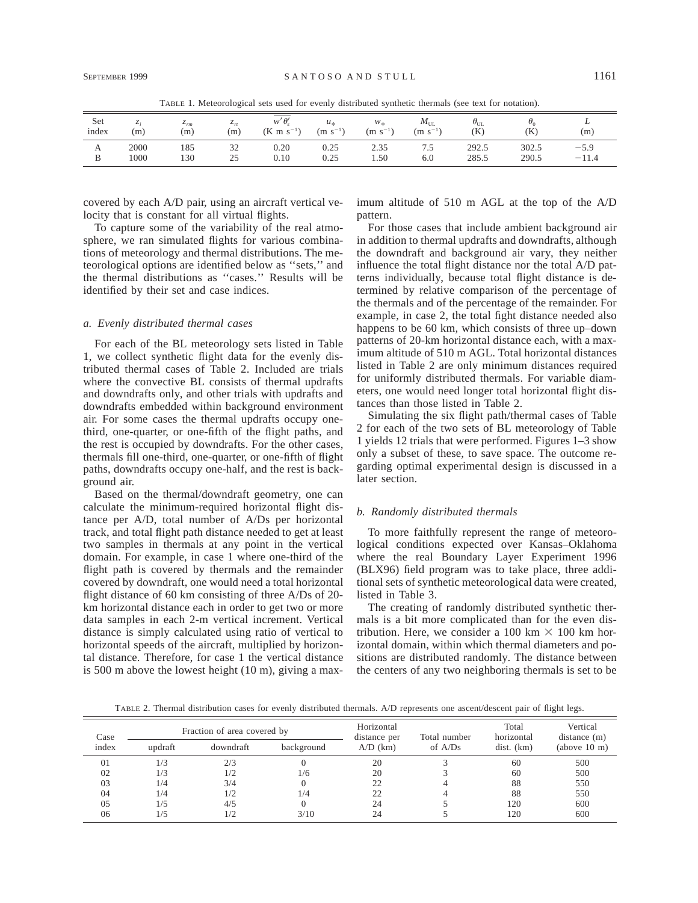|              |                 |                  | -                     |                                                     |                       | __                      |                              |                            |                     |                   |
|--------------|-----------------|------------------|-----------------------|-----------------------------------------------------|-----------------------|-------------------------|------------------------------|----------------------------|---------------------|-------------------|
| Set<br>index | $\sim$ i<br>(m) | $\sim$ rm<br>(m) | $\sim_{rt}$<br>(m)    | $w'\theta'_s$<br>$(K \; \text{m} \; \text{s}^{-1})$ | $u_*$<br>$(m s^{-1})$ | $W_{*}$<br>$(m s^{-1})$ | $M_{\rm UL}$<br>$(m s^{-1})$ | $\theta_{\text{UL}}$<br>(K | $\sigma_{0}$<br>(K) | ∸<br>(m)          |
| A<br>B       | 2000<br>1000    | 185<br>130       | $\bigcap$<br>32<br>25 | 0.20<br>$_{0.10}$                                   | 0.25<br>0.25          | 2.35<br>1.50            | 7.5<br>6.0                   | 292.5<br>285.5             | 302.5<br>290.5      | $-5.9$<br>$-11.4$ |

TABLE 1. Meteorological sets used for evenly distributed synthetic thermals (see text for notation).

covered by each A/D pair, using an aircraft vertical velocity that is constant for all virtual flights.

To capture some of the variability of the real atmosphere, we ran simulated flights for various combinations of meteorology and thermal distributions. The meteorological options are identified below as ''sets,'' and the thermal distributions as ''cases.'' Results will be identified by their set and case indices.

### *a. Evenly distributed thermal cases*

For each of the BL meteorology sets listed in Table 1, we collect synthetic flight data for the evenly distributed thermal cases of Table 2. Included are trials where the convective BL consists of thermal updrafts and downdrafts only, and other trials with updrafts and downdrafts embedded within background environment air. For some cases the thermal updrafts occupy onethird, one-quarter, or one-fifth of the flight paths, and the rest is occupied by downdrafts. For the other cases, thermals fill one-third, one-quarter, or one-fifth of flight paths, downdrafts occupy one-half, and the rest is background air.

Based on the thermal/downdraft geometry, one can calculate the minimum-required horizontal flight distance per A/D, total number of A/Ds per horizontal track, and total flight path distance needed to get at least two samples in thermals at any point in the vertical domain. For example, in case 1 where one-third of the flight path is covered by thermals and the remainder covered by downdraft, one would need a total horizontal flight distance of 60 km consisting of three A/Ds of 20 km horizontal distance each in order to get two or more data samples in each 2-m vertical increment. Vertical distance is simply calculated using ratio of vertical to horizontal speeds of the aircraft, multiplied by horizontal distance. Therefore, for case 1 the vertical distance is 500 m above the lowest height (10 m), giving a maximum altitude of 510 m AGL at the top of the A/D pattern.

For those cases that include ambient background air in addition to thermal updrafts and downdrafts, although the downdraft and background air vary, they neither influence the total flight distance nor the total A/D patterns individually, because total flight distance is determined by relative comparison of the percentage of the thermals and of the percentage of the remainder. For example, in case 2, the total fight distance needed also happens to be 60 km, which consists of three up–down patterns of 20-km horizontal distance each, with a maximum altitude of 510 m AGL. Total horizontal distances listed in Table 2 are only minimum distances required for uniformly distributed thermals. For variable diameters, one would need longer total horizontal flight distances than those listed in Table 2.

Simulating the six flight path/thermal cases of Table 2 for each of the two sets of BL meteorology of Table 1 yields 12 trials that were performed. Figures 1–3 show only a subset of these, to save space. The outcome regarding optimal experimental design is discussed in a later section.

### *b. Randomly distributed thermals*

To more faithfully represent the range of meteorological conditions expected over Kansas–Oklahoma where the real Boundary Layer Experiment 1996 (BLX96) field program was to take place, three additional sets of synthetic meteorological data were created, listed in Table 3.

The creating of randomly distributed synthetic thermals is a bit more complicated than for the even distribution. Here, we consider a 100 km  $\times$  100 km horizontal domain, within which thermal diameters and positions are distributed randomly. The distance between the centers of any two neighboring thermals is set to be

TABLE 2. Thermal distribution cases for evenly distributed thermals. A/D represents one ascent/descent pair of flight legs.

| Case  | Fraction of area covered by |           |            | Horizontal<br>distance per | Total number | Total<br>horizontal | Vertical<br>$distance$ (m) |
|-------|-----------------------------|-----------|------------|----------------------------|--------------|---------------------|----------------------------|
| index | updraft                     | downdraft | background | $A/D$ (km)                 | of A/Ds      | $dist.$ (km)        | (above 10 m)               |
| 01    | 1/3                         | 2/3       |            | 20                         |              | 60                  | 500                        |
| 02    | 1/3                         | 1/2       | 1/6        | 20                         |              | 60                  | 500                        |
| 03    | 1/4                         | 3/4       |            | 22                         |              | 88                  | 550                        |
| 04    | 1/4                         | 1/2       | 1/4        | 22                         |              | 88                  | 550                        |
| 05    | 1/5                         | 4/5       |            | 24                         |              | 120                 | 600                        |
| 06    | 1/5                         | 1/2       | 3/10       | 24                         |              | 120                 | 600                        |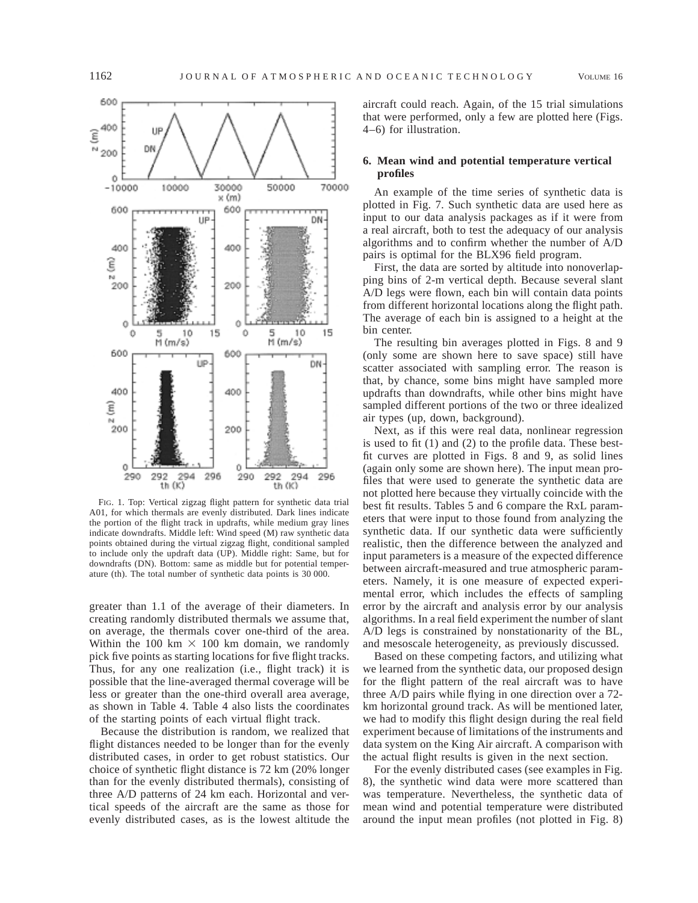

FIG. 1. Top: Vertical zigzag flight pattern for synthetic data trial A01, for which thermals are evenly distributed. Dark lines indicate the portion of the flight track in updrafts, while medium gray lines indicate downdrafts. Middle left: Wind speed (M) raw synthetic data points obtained during the virtual zigzag flight, conditional sampled to include only the updraft data (UP). Middle right: Same, but for downdrafts (DN). Bottom: same as middle but for potential temperature (th). The total number of synthetic data points is 30 000.

greater than 1.1 of the average of their diameters. In creating randomly distributed thermals we assume that, on average, the thermals cover one-third of the area. Within the 100 km  $\times$  100 km domain, we randomly pick five points as starting locations for five flight tracks. Thus, for any one realization (i.e., flight track) it is possible that the line-averaged thermal coverage will be less or greater than the one-third overall area average, as shown in Table 4. Table 4 also lists the coordinates of the starting points of each virtual flight track.

Because the distribution is random, we realized that flight distances needed to be longer than for the evenly distributed cases, in order to get robust statistics. Our choice of synthetic flight distance is 72 km (20% longer than for the evenly distributed thermals), consisting of three A/D patterns of 24 km each. Horizontal and vertical speeds of the aircraft are the same as those for evenly distributed cases, as is the lowest altitude the

aircraft could reach. Again, of the 15 trial simulations that were performed, only a few are plotted here (Figs. 4–6) for illustration.

### **6. Mean wind and potential temperature vertical profiles**

An example of the time series of synthetic data is plotted in Fig. 7. Such synthetic data are used here as input to our data analysis packages as if it were from a real aircraft, both to test the adequacy of our analysis algorithms and to confirm whether the number of A/D pairs is optimal for the BLX96 field program.

First, the data are sorted by altitude into nonoverlapping bins of 2-m vertical depth. Because several slant A/D legs were flown, each bin will contain data points from different horizontal locations along the flight path. The average of each bin is assigned to a height at the bin center.

The resulting bin averages plotted in Figs. 8 and 9 (only some are shown here to save space) still have scatter associated with sampling error. The reason is that, by chance, some bins might have sampled more updrafts than downdrafts, while other bins might have sampled different portions of the two or three idealized air types (up, down, background).

Next, as if this were real data, nonlinear regression is used to fit (1) and (2) to the profile data. These bestfit curves are plotted in Figs. 8 and 9, as solid lines (again only some are shown here). The input mean profiles that were used to generate the synthetic data are not plotted here because they virtually coincide with the best fit results. Tables 5 and 6 compare the RxL parameters that were input to those found from analyzing the synthetic data. If our synthetic data were sufficiently realistic, then the difference between the analyzed and input parameters is a measure of the expected difference between aircraft-measured and true atmospheric parameters. Namely, it is one measure of expected experimental error, which includes the effects of sampling error by the aircraft and analysis error by our analysis algorithms. In a real field experiment the number of slant A/D legs is constrained by nonstationarity of the BL, and mesoscale heterogeneity, as previously discussed.

Based on these competing factors, and utilizing what we learned from the synthetic data, our proposed design for the flight pattern of the real aircraft was to have three A/D pairs while flying in one direction over a 72 km horizontal ground track. As will be mentioned later, we had to modify this flight design during the real field experiment because of limitations of the instruments and data system on the King Air aircraft. A comparison with the actual flight results is given in the next section.

For the evenly distributed cases (see examples in Fig. 8), the synthetic wind data were more scattered than was temperature. Nevertheless, the synthetic data of mean wind and potential temperature were distributed around the input mean profiles (not plotted in Fig. 8)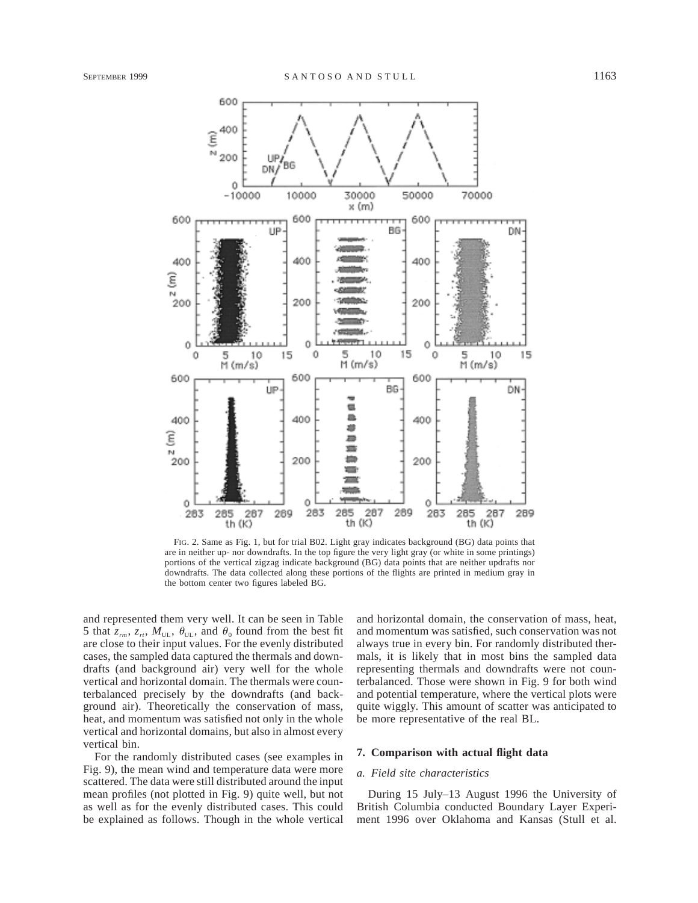

FIG. 2. Same as Fig. 1, but for trial B02. Light gray indicates background (BG) data points that are in neither up- nor downdrafts. In the top figure the very light gray (or white in some printings) portions of the vertical zigzag indicate background (BG) data points that are neither updrafts nor downdrafts. The data collected along these portions of the flights are printed in medium gray in the bottom center two figures labeled BG.

and represented them very well. It can be seen in Table 5 that  $z_{rm}$ ,  $z_{rt}$ ,  $M_{UL}$ ,  $\theta_{UL}$ , and  $\theta_0$  found from the best fit are close to their input values. For the evenly distributed cases, the sampled data captured the thermals and downdrafts (and background air) very well for the whole vertical and horizontal domain. The thermals were counterbalanced precisely by the downdrafts (and background air). Theoretically the conservation of mass, heat, and momentum was satisfied not only in the whole vertical and horizontal domains, but also in almost every vertical bin.

For the randomly distributed cases (see examples in Fig. 9), the mean wind and temperature data were more scattered. The data were still distributed around the input mean profiles (not plotted in Fig. 9) quite well, but not as well as for the evenly distributed cases. This could be explained as follows. Though in the whole vertical

and horizontal domain, the conservation of mass, heat, and momentum was satisfied, such conservation was not always true in every bin. For randomly distributed thermals, it is likely that in most bins the sampled data representing thermals and downdrafts were not counterbalanced. Those were shown in Fig. 9 for both wind and potential temperature, where the vertical plots were quite wiggly. This amount of scatter was anticipated to be more representative of the real BL.

## **7. Comparison with actual flight data**

### *a. Field site characteristics*

During 15 July–13 August 1996 the University of British Columbia conducted Boundary Layer Experiment 1996 over Oklahoma and Kansas (Stull et al.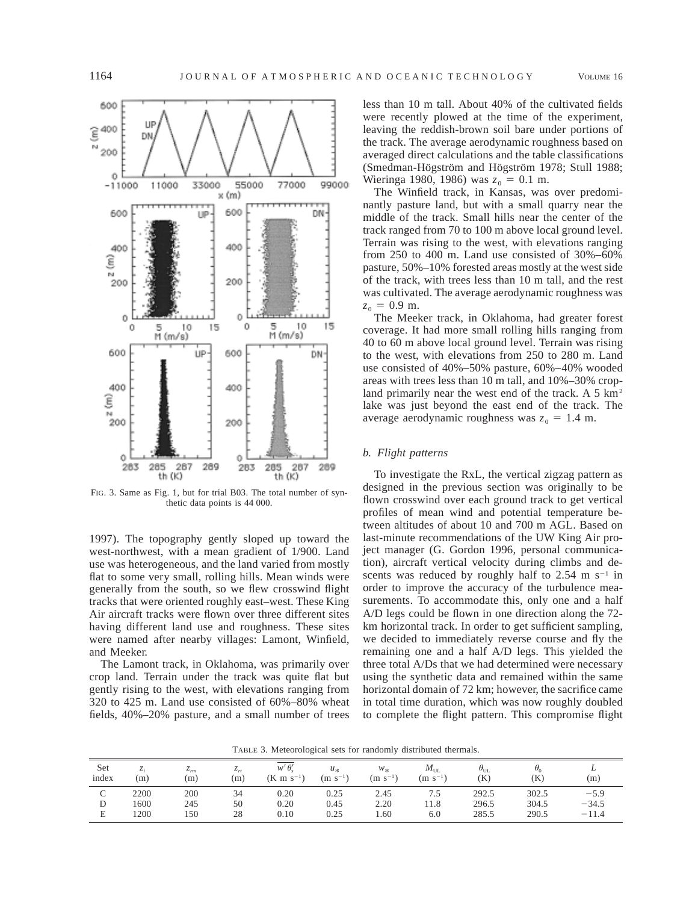

FIG. 3. Same as Fig. 1, but for trial B03. The total number of synthetic data points is 44 000.

1997). The topography gently sloped up toward the west-northwest, with a mean gradient of 1/900. Land use was heterogeneous, and the land varied from mostly flat to some very small, rolling hills. Mean winds were generally from the south, so we flew crosswind flight tracks that were oriented roughly east–west. These King Air aircraft tracks were flown over three different sites having different land use and roughness. These sites were named after nearby villages: Lamont, Winfield, and Meeker.

The Lamont track, in Oklahoma, was primarily over crop land. Terrain under the track was quite flat but gently rising to the west, with elevations ranging from 320 to 425 m. Land use consisted of 60%–80% wheat fields, 40%–20% pasture, and a small number of trees less than 10 m tall. About 40% of the cultivated fields were recently plowed at the time of the experiment, leaving the reddish-brown soil bare under portions of the track. The average aerodynamic roughness based on averaged direct calculations and the table classifications (Smedman-Högström and Högström 1978; Stull 1988; Wieringa 1980, 1986) was  $z_0 = 0.1$  m.

The Winfield track, in Kansas, was over predominantly pasture land, but with a small quarry near the middle of the track. Small hills near the center of the track ranged from 70 to 100 m above local ground level. Terrain was rising to the west, with elevations ranging from 250 to 400 m. Land use consisted of 30%–60% pasture, 50%–10% forested areas mostly at the west side of the track, with trees less than 10 m tall, and the rest was cultivated. The average aerodynamic roughness was  $z_0 = 0.9$  m.

The Meeker track, in Oklahoma, had greater forest coverage. It had more small rolling hills ranging from 40 to 60 m above local ground level. Terrain was rising to the west, with elevations from 250 to 280 m. Land use consisted of 40%–50% pasture, 60%–40% wooded areas with trees less than 10 m tall, and 10%–30% cropland primarily near the west end of the track. A  $5 \text{ km}^2$ lake was just beyond the east end of the track. The average aerodynamic roughness was  $z_0 = 1.4$  m.

## *b. Flight patterns*

To investigate the RxL, the vertical zigzag pattern as designed in the previous section was originally to be flown crosswind over each ground track to get vertical profiles of mean wind and potential temperature between altitudes of about 10 and 700 m AGL. Based on last-minute recommendations of the UW King Air project manager (G. Gordon 1996, personal communication), aircraft vertical velocity during climbs and descents was reduced by roughly half to  $2.54 \text{ m s}^{-1}$  in order to improve the accuracy of the turbulence measurements. To accommodate this, only one and a half A/D legs could be flown in one direction along the 72 km horizontal track. In order to get sufficient sampling, we decided to immediately reverse course and fly the remaining one and a half A/D legs. This yielded the three total A/Ds that we had determined were necessary using the synthetic data and remained within the same horizontal domain of 72 km; however, the sacrifice came in total time duration, which was now roughly doubled to complete the flight pattern. This compromise flight

TABLE 3. Meteorological sets for randomly distributed thermals.

| Set<br>index | $Z_i$<br>(m) | $z_{rm}$<br>(m) | $\sim$ rt<br>(m) | $w'\theta'$<br>$(K \; m \; s^{-1})$ | $u_{*}$<br>$(m s^{-1})$ | $W_{\rm i k}$<br>$(m s^{-1})$ | $M_{\rm HI.}$<br>$(m s^{-1})$ | $\theta_{\text{UL}}$<br>(K) | $U_0$<br>(K | ≖<br>(m) |
|--------------|--------------|-----------------|------------------|-------------------------------------|-------------------------|-------------------------------|-------------------------------|-----------------------------|-------------|----------|
|              | 2200         | 200             | 34               | 0.20                                | 0.25                    | 2.45                          | 7.5                           | 292.5                       | 302.5       | $-5.9$   |
|              | 1600         | 245             | 50               | 0.20                                | 0.45                    | 2.20                          | 11.8                          | 296.5                       | 304.5       | $-34.5$  |
| E            | 1200         | 150             | 28               | 0.10                                | 0.25                    | 1.60                          | 6.0                           | 285.5                       | 290.5       | $-11.4$  |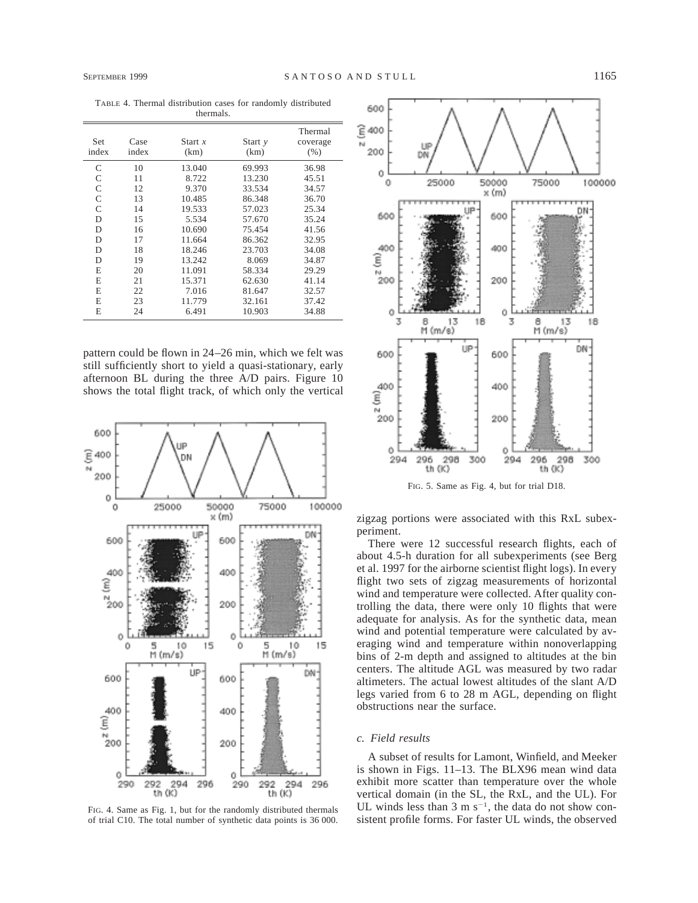|                     | thermals.     |                   |                 |                             |  |  |  |
|---------------------|---------------|-------------------|-----------------|-----------------------------|--|--|--|
| <b>Set</b><br>index | Case<br>index | Start $x$<br>(km) | Start y<br>(km) | Thermal<br>coverage<br>(% ) |  |  |  |
| C                   | 10            | 13.040            | 69.993          | 36.98                       |  |  |  |
| $\mathsf{C}$        | 11            | 8.722             | 13.230          | 45.51                       |  |  |  |
| $\mathsf{C}$        | 12            | 9.370             | 33.534          | 34.57                       |  |  |  |
| $\mathsf{C}$        | 13            | 10.485            | 86.348          | 36.70                       |  |  |  |
| $\mathcal{C}$       | 14            | 19.533            | 57.023          | 25.34                       |  |  |  |
| D                   | 15            | 5.534             | 57.670          | 35.24                       |  |  |  |
| D                   | 16            | 10.690            | 75.454          | 41.56                       |  |  |  |
| D                   | 17            | 11.664            | 86.362          | 32.95                       |  |  |  |
| D                   | 18            | 18.246            | 23.703          | 34.08                       |  |  |  |
| D                   | 19            | 13.242            | 8.069           | 34.87                       |  |  |  |
| E                   | 20            | 11.091            | 58.334          | 29.29                       |  |  |  |
| E                   | 21            | 15.371            | 62.630          | 41.14                       |  |  |  |
| E                   | 22            | 7.016             | 81.647          | 32.57                       |  |  |  |
| E                   | 23            | 11.779            | 32.161          | 37.42                       |  |  |  |
| E                   | 24            | 6.491             | 10.903          | 34.88                       |  |  |  |

TABLE 4. Thermal distribution cases for randomly distributed

pattern could be flown in 24–26 min, which we felt was still sufficiently short to yield a quasi-stationary, early afternoon BL during the three A/D pairs. Figure 10 shows the total flight track, of which only the vertical



FIG. 4. Same as Fig. 1, but for the randomly distributed thermals of trial C10. The total number of synthetic data points is 36 000.



zigzag portions were associated with this RxL subexperiment.

There were 12 successful research flights, each of about 4.5-h duration for all subexperiments (see Berg et al. 1997 for the airborne scientist flight logs). In every flight two sets of zigzag measurements of horizontal wind and temperature were collected. After quality controlling the data, there were only 10 flights that were adequate for analysis. As for the synthetic data, mean wind and potential temperature were calculated by averaging wind and temperature within nonoverlapping bins of 2-m depth and assigned to altitudes at the bin centers. The altitude AGL was measured by two radar altimeters. The actual lowest altitudes of the slant A/D legs varied from 6 to 28 m AGL, depending on flight obstructions near the surface.

## *c. Field results*

A subset of results for Lamont, Winfield, and Meeker is shown in Figs. 11–13. The BLX96 mean wind data exhibit more scatter than temperature over the whole vertical domain (in the SL, the RxL, and the UL). For UL winds less than  $3 \text{ m s}^{-1}$ , the data do not show consistent profile forms. For faster UL winds, the observed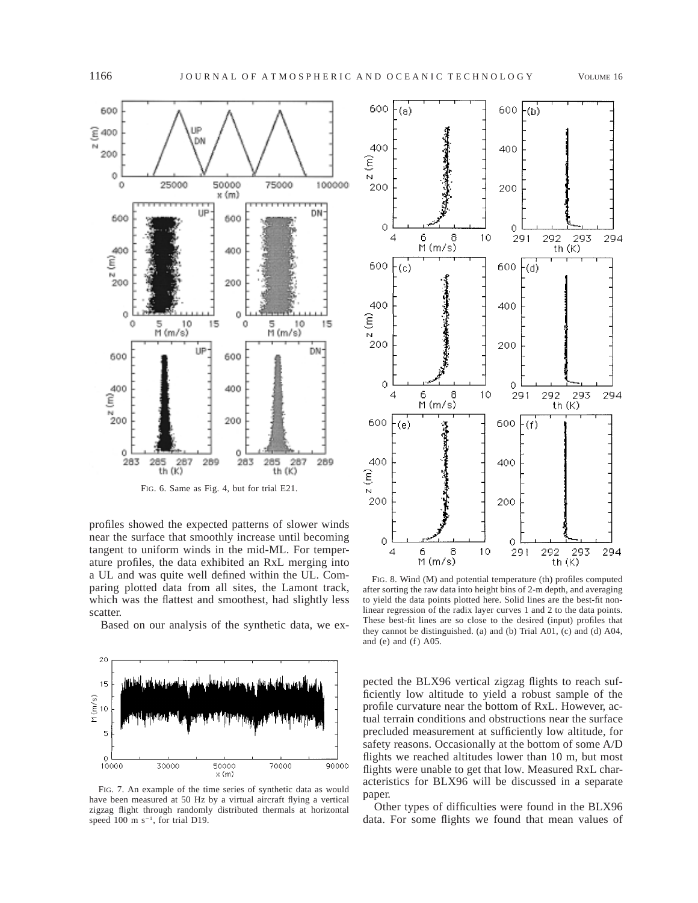

profiles showed the expected patterns of slower winds near the surface that smoothly increase until becoming tangent to uniform winds in the mid-ML. For temperature profiles, the data exhibited an RxL merging into a UL and was quite well defined within the UL. Comparing plotted data from all sites, the Lamont track, which was the flattest and smoothest, had slightly less scatter.

Based on our analysis of the synthetic data, we ex-



FIG. 7. An example of the time series of synthetic data as would have been measured at 50 Hz by a virtual aircraft flying a vertical zigzag flight through randomly distributed thermals at horizontal speed 100 m  $s^{-1}$ , for trial D19.



FIG. 8. Wind (M) and potential temperature (th) profiles computed after sorting the raw data into height bins of 2-m depth, and averaging to yield the data points plotted here. Solid lines are the best-fit nonlinear regression of the radix layer curves 1 and 2 to the data points. These best-fit lines are so close to the desired (input) profiles that they cannot be distinguished. (a) and (b) Trial A01, (c) and (d) A04, and (e) and (f) A05.

pected the BLX96 vertical zigzag flights to reach sufficiently low altitude to yield a robust sample of the profile curvature near the bottom of RxL. However, actual terrain conditions and obstructions near the surface precluded measurement at sufficiently low altitude, for safety reasons. Occasionally at the bottom of some A/D flights we reached altitudes lower than 10 m, but most flights were unable to get that low. Measured RxL characteristics for BLX96 will be discussed in a separate paper.

Other types of difficulties were found in the BLX96 data. For some flights we found that mean values of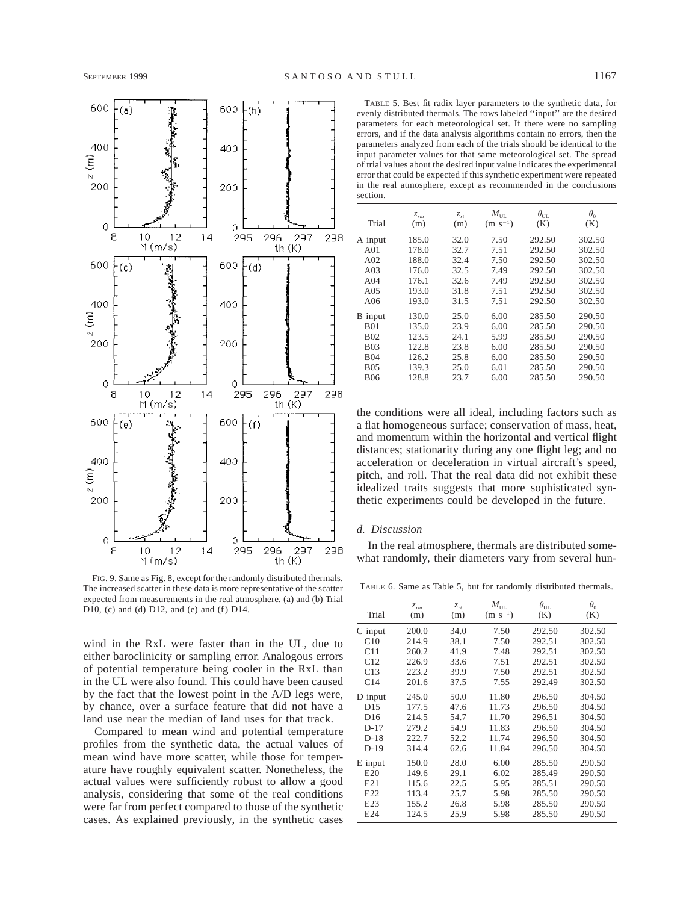

FIG. 9. Same as Fig. 8, except for the randomly distributed thermals. The increased scatter in these data is more representative of the scatter expected from measurements in the real atmosphere. (a) and (b) Trial D10, (c) and (d) D12, and (e) and (f) D14.

wind in the RxL were faster than in the UL, due to either baroclinicity or sampling error. Analogous errors of potential temperature being cooler in the RxL than in the UL were also found. This could have been caused by the fact that the lowest point in the A/D legs were, by chance, over a surface feature that did not have a land use near the median of land uses for that track.

Compared to mean wind and potential temperature profiles from the synthetic data, the actual values of mean wind have more scatter, while those for temperature have roughly equivalent scatter. Nonetheless, the actual values were sufficiently robust to allow a good analysis, considering that some of the real conditions were far from perfect compared to those of the synthetic cases. As explained previously, in the synthetic cases

TABLE 5. Best fit radix layer parameters to the synthetic data, for evenly distributed thermals. The rows labeled ''input'' are the desired parameters for each meteorological set. If there were no sampling errors, and if the data analysis algorithms contain no errors, then the parameters analyzed from each of the trials should be identical to the input parameter values for that same meteorological set. The spread of trial values about the desired input value indicates the experimental error that could be expected if this synthetic experiment were repeated in the real atmosphere, except as recommended in the conclusions section.

| Trial           | $z_{rm}$ | $z_{rt}$ | $M_{\rm UL}$ | $\theta_\text{UL}$ | $\theta_{0}$ |
|-----------------|----------|----------|--------------|--------------------|--------------|
|                 | (m)      | (m)      | $(m s^{-1})$ | (K)                | (K)          |
| A input         | 185.0    | 32.0     | 7.50         | 292.50             | 302.50       |
| A <sub>01</sub> | 178.0    | 32.7     | 7.51         | 292.50             | 302.50       |
| A02             | 188.0    | 32.4     | 7.50         | 292.50             | 302.50       |
| A <sub>03</sub> | 176.0    | 32.5     | 7.49         | 292.50             | 302.50       |
| A04             | 176.1    | 32.6     | 7.49         | 292.50             | 302.50       |
| A05             | 193.0    | 31.8     | 7.51         | 292.50             | 302.50       |
| A06             | 193.0    | 31.5     | 7.51         | 292.50             | 302.50       |
| B input         | 130.0    | 25.0     | 6.00         | 285.50             | 290.50       |
| <b>B01</b>      | 135.0    | 23.9     | 6.00         | 285.50             | 290.50       |
| <b>B02</b>      | 123.5    | 24.1     | 5.99         | 285.50             | 290.50       |
| <b>B03</b>      | 122.8    | 23.8     | 6.00         | 285.50             | 290.50       |
| <b>B04</b>      | 126.2    | 25.8     | 6.00         | 285.50             | 290.50       |
| <b>B05</b>      | 139.3    | 25.0     | 6.01         | 285.50             | 290.50       |
| <b>B06</b>      | 128.8    | 23.7     | 6.00         | 285.50             | 290.50       |

the conditions were all ideal, including factors such as a flat homogeneous surface; conservation of mass, heat, and momentum within the horizontal and vertical flight distances; stationarity during any one flight leg; and no acceleration or deceleration in virtual aircraft's speed, pitch, and roll. That the real data did not exhibit these idealized traits suggests that more sophisticated synthetic experiments could be developed in the future.

### *d. Discussion*

In the real atmosphere, thermals are distributed somewhat randomly, their diameters vary from several hun-

TABLE 6. Same as Table 5, but for randomly distributed thermals.

| Trial           | $z_{rm}$<br>(m) | $z_{rt}$<br>(m) | $M_{\rm UL}$<br>$(m s^{-1})$ | $\theta_\textnormal{\tiny{UL}}$<br>(K) | $\theta_{0}$<br>(K) |
|-----------------|-----------------|-----------------|------------------------------|----------------------------------------|---------------------|
| $C$ input       | 200.0           | 34.0            | 7.50                         | 292.50                                 | 302.50              |
| C10             | 214.9           | 38.1            | 7.50                         | 292.51                                 | 302.50              |
| C11             | 260.2           | 41.9            | 7.48                         | 292.51                                 | 302.50              |
| C12             | 226.9           | 33.6            | 7.51                         | 292.51                                 | 302.50              |
| C13             | 223.2           | 39.9            | 7.50                         | 292.51                                 | 302.50              |
| C14             | 201.6           | 37.5            | 7.55                         | 292.49                                 | 302.50              |
| D input         | 245.0           | 50.0            | 11.80                        | 296.50                                 | 304.50              |
| D15             | 177.5           | 47.6            | 11.73                        | 296.50                                 | 304.50              |
| D16             | 214.5           | 54.7            | 11.70                        | 296.51                                 | 304.50              |
| $D-17$          | 279.2           | 54.9            | 11.83                        | 296.50                                 | 304.50              |
| $D-18$          | 222.7           | 52.2            | 11.74                        | 296.50                                 | 304.50              |
| $D-19$          | 314.4           | 62.6            | 11.84                        | 296.50                                 | 304.50              |
| $E$ input       | 150.0           | 28.0            | 6.00                         | 285.50                                 | 290.50              |
| E20             | 149.6           | 29.1            | 6.02                         | 285.49                                 | 290.50              |
| E21             | 115.6           | 22.5            | 5.95                         | 285.51                                 | 290.50              |
| E <sub>22</sub> | 113.4           | 25.7            | 5.98                         | 285.50                                 | 290.50              |
| E <sub>23</sub> | 155.2           | 26.8            | 5.98                         | 285.50                                 | 290.50              |
| E24             | 124.5           | 25.9            | 5.98                         | 285.50                                 | 290.50              |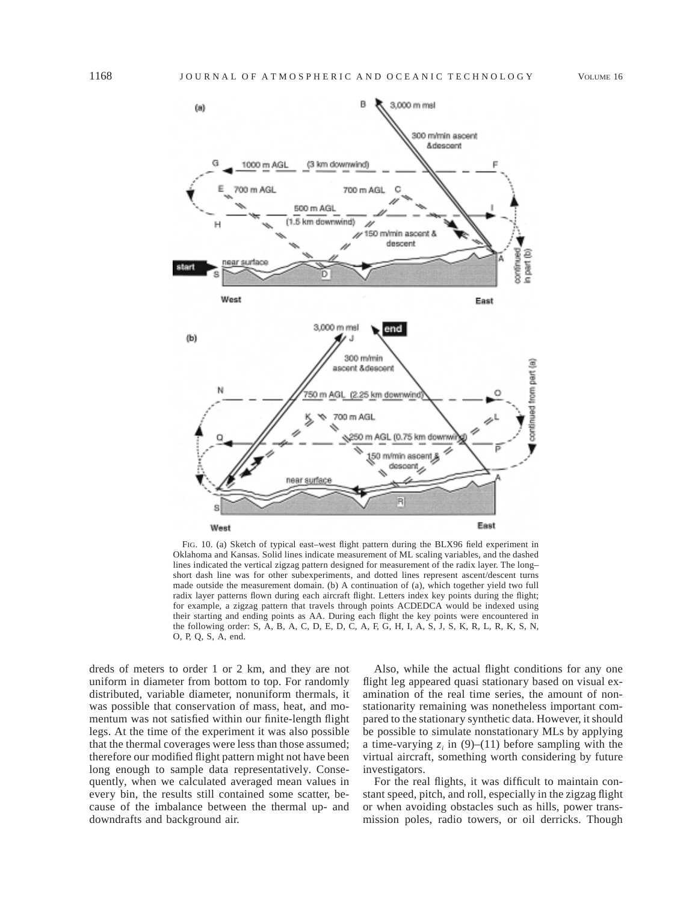

FIG. 10. (a) Sketch of typical east–west flight pattern during the BLX96 field experiment in Oklahoma and Kansas. Solid lines indicate measurement of ML scaling variables, and the dashed lines indicated the vertical zigzag pattern designed for measurement of the radix layer. The long– short dash line was for other subexperiments, and dotted lines represent ascent/descent turns made outside the measurement domain. (b) A continuation of (a), which together yield two full radix layer patterns flown during each aircraft flight. Letters index key points during the flight; for example, a zigzag pattern that travels through points ACDEDCA would be indexed using their starting and ending points as AA. During each flight the key points were encountered in the following order: S, A, B, A, C, D, E, D, C, A, F, G, H, I, A, S, J, S, K, R, L, R, K, S, N, O, P, Q, S, A, end.

dreds of meters to order 1 or 2 km, and they are not uniform in diameter from bottom to top. For randomly distributed, variable diameter, nonuniform thermals, it was possible that conservation of mass, heat, and momentum was not satisfied within our finite-length flight legs. At the time of the experiment it was also possible that the thermal coverages were less than those assumed; therefore our modified flight pattern might not have been long enough to sample data representatively. Consequently, when we calculated averaged mean values in every bin, the results still contained some scatter, because of the imbalance between the thermal up- and downdrafts and background air.

Also, while the actual flight conditions for any one flight leg appeared quasi stationary based on visual examination of the real time series, the amount of nonstationarity remaining was nonetheless important compared to the stationary synthetic data. However, it should be possible to simulate nonstationary MLs by applying a time-varying  $z_i$  in (9)–(11) before sampling with the virtual aircraft, something worth considering by future investigators.

For the real flights, it was difficult to maintain constant speed, pitch, and roll, especially in the zigzag flight or when avoiding obstacles such as hills, power transmission poles, radio towers, or oil derricks. Though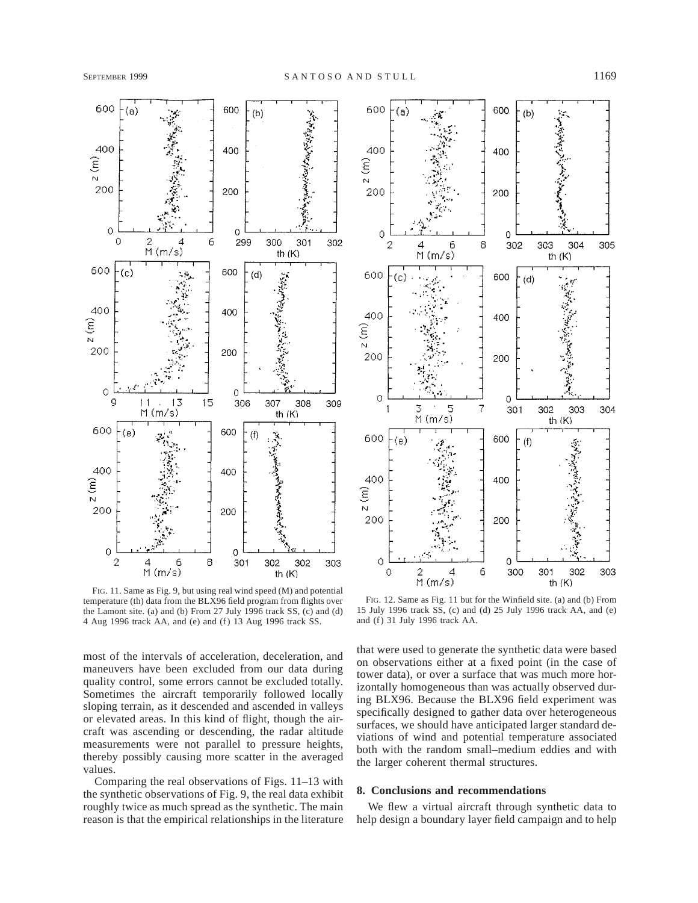



FIG. 11. Same as Fig. 9, but using real wind speed (M) and potential temperature (th) data from the BLX96 field program from flights over the Lamont site. (a) and (b) From 27 July 1996 track SS, (c) and (d) 4 Aug 1996 track AA, and (e) and (f) 13 Aug 1996 track SS.

most of the intervals of acceleration, deceleration, and maneuvers have been excluded from our data during quality control, some errors cannot be excluded totally. Sometimes the aircraft temporarily followed locally sloping terrain, as it descended and ascended in valleys or elevated areas. In this kind of flight, though the aircraft was ascending or descending, the radar altitude measurements were not parallel to pressure heights, thereby possibly causing more scatter in the averaged values.

Comparing the real observations of Figs. 11–13 with the synthetic observations of Fig. 9, the real data exhibit roughly twice as much spread as the synthetic. The main reason is that the empirical relationships in the literature

FIG. 12. Same as Fig. 11 but for the Winfield site. (a) and (b) From 15 July 1996 track SS, (c) and (d) 25 July 1996 track AA, and (e) and (f) 31 July 1996 track AA.

that were used to generate the synthetic data were based on observations either at a fixed point (in the case of tower data), or over a surface that was much more horizontally homogeneous than was actually observed during BLX96. Because the BLX96 field experiment was specifically designed to gather data over heterogeneous surfaces, we should have anticipated larger standard deviations of wind and potential temperature associated both with the random small–medium eddies and with the larger coherent thermal structures.

## **8. Conclusions and recommendations**

We flew a virtual aircraft through synthetic data to help design a boundary layer field campaign and to help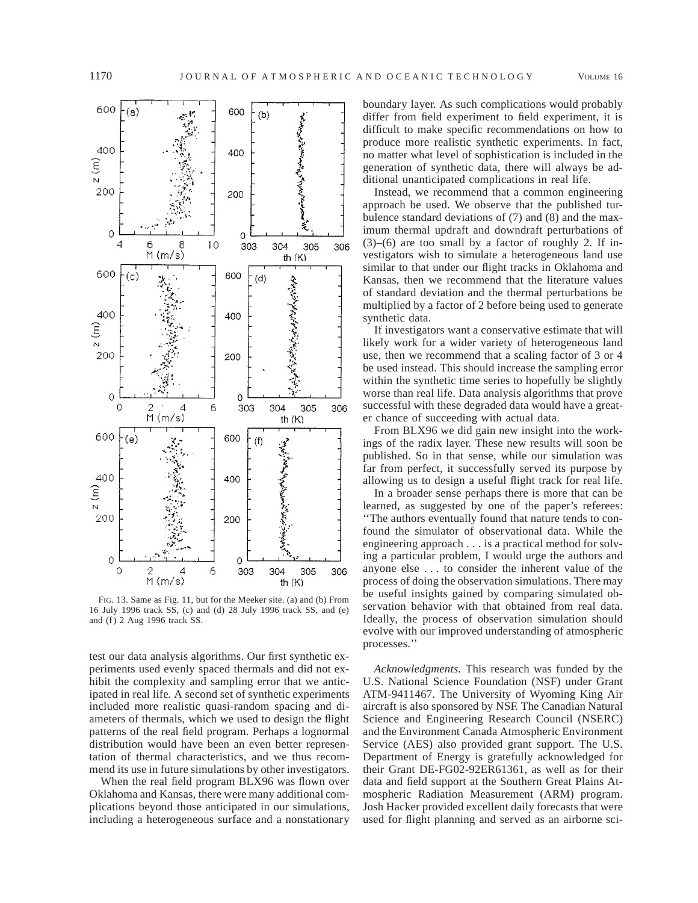

FIG. 13. Same as Fig. 11, but for the Meeker site. (a) and (b) From 16 July 1996 track SS, (c) and (d) 28 July 1996 track SS, and (e) and (f) 2 Aug 1996 track SS.

test our data analysis algorithms. Our first synthetic experiments used evenly spaced thermals and did not exhibit the complexity and sampling error that we anticipated in real life. A second set of synthetic experiments included more realistic quasi-random spacing and diameters of thermals, which we used to design the flight patterns of the real field program. Perhaps a lognormal distribution would have been an even better representation of thermal characteristics, and we thus recommend its use in future simulations by other investigators.

When the real field program BLX96 was flown over Oklahoma and Kansas, there were many additional complications beyond those anticipated in our simulations, including a heterogeneous surface and a nonstationary boundary layer. As such complications would probably differ from field experiment to field experiment, it is difficult to make specific recommendations on how to produce more realistic synthetic experiments. In fact, no matter what level of sophistication is included in the generation of synthetic data, there will always be additional unanticipated complications in real life.

Instead, we recommend that a common engineering approach be used. We observe that the published turbulence standard deviations of (7) and (8) and the maximum thermal updraft and downdraft perturbations of (3)–(6) are too small by a factor of roughly 2. If investigators wish to simulate a heterogeneous land use similar to that under our flight tracks in Oklahoma and Kansas, then we recommend that the literature values of standard deviation and the thermal perturbations be multiplied by a factor of 2 before being used to generate synthetic data.

If investigators want a conservative estimate that will likely work for a wider variety of heterogeneous land use, then we recommend that a scaling factor of 3 or 4 be used instead. This should increase the sampling error within the synthetic time series to hopefully be slightly worse than real life. Data analysis algorithms that prove successful with these degraded data would have a greater chance of succeeding with actual data.

From BLX96 we did gain new insight into the workings of the radix layer. These new results will soon be published. So in that sense, while our simulation was far from perfect, it successfully served its purpose by allowing us to design a useful flight track for real life.

In a broader sense perhaps there is more that can be learned, as suggested by one of the paper's referees: ''The authors eventually found that nature tends to confound the simulator of observational data. While the engineering approach . . . is a practical method for solving a particular problem, I would urge the authors and anyone else . . . to consider the inherent value of the process of doing the observation simulations. There may be useful insights gained by comparing simulated observation behavior with that obtained from real data. Ideally, the process of observation simulation should evolve with our improved understanding of atmospheric processes.''

*Acknowledgments.* This research was funded by the U.S. National Science Foundation (NSF) under Grant ATM-9411467. The University of Wyoming King Air aircraft is also sponsored by NSF. The Canadian Natural Science and Engineering Research Council (NSERC) and the Environment Canada Atmospheric Environment Service (AES) also provided grant support. The U.S. Department of Energy is gratefully acknowledged for their Grant DE-FG02-92ER61361, as well as for their data and field support at the Southern Great Plains Atmospheric Radiation Measurement (ARM) program. Josh Hacker provided excellent daily forecasts that were used for flight planning and served as an airborne sci